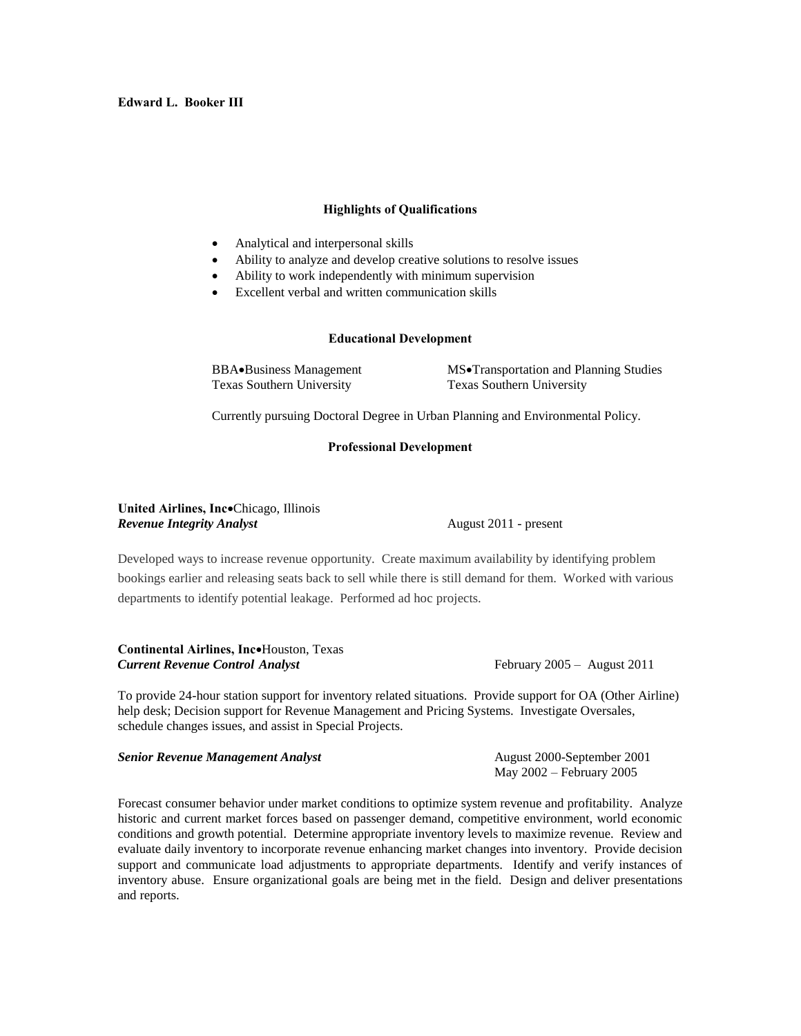# **Highlights of Qualifications**

- Analytical and interpersonal skills
- Ability to analyze and develop creative solutions to resolve issues
- Ability to work independently with minimum supervision
- Excellent verbal and written communication skills

# **Educational Development**

Texas Southern University Texas Southern University

BBA $\bullet$ Business Management MS $\bullet$ Transportation and Planning Studies

Currently pursuing Doctoral Degree in Urban Planning and Environmental Policy.

# **Professional Development**

### United Airlines, IncoChicago, Illinois *Revenue Integrity Analyst* **August 2011** - present

Developed ways to increase revenue opportunity. Create maximum availability by identifying problem bookings earlier and releasing seats back to sell while there is still demand for them. Worked with various departments to identify potential leakage. Performed ad hoc projects.

**Continental Airlines, Inc•Houston, Texas** *Current Revenue Control Analyst* February 2005 – August 2011

To provide 24-hour station support for inventory related situations. Provide support for OA (Other Airline) help desk; Decision support for Revenue Management and Pricing Systems. Investigate Oversales, schedule changes issues, and assist in Special Projects.

*Senior Revenue Management Analyst* August 2000-September 2001

Forecast consumer behavior under market conditions to optimize system revenue and profitability. Analyze historic and current market forces based on passenger demand, competitive environment, world economic conditions and growth potential. Determine appropriate inventory levels to maximize revenue. Review and evaluate daily inventory to incorporate revenue enhancing market changes into inventory. Provide decision support and communicate load adjustments to appropriate departments. Identify and verify instances of inventory abuse. Ensure organizational goals are being met in the field. Design and deliver presentations and reports.

May 2002 – February 2005